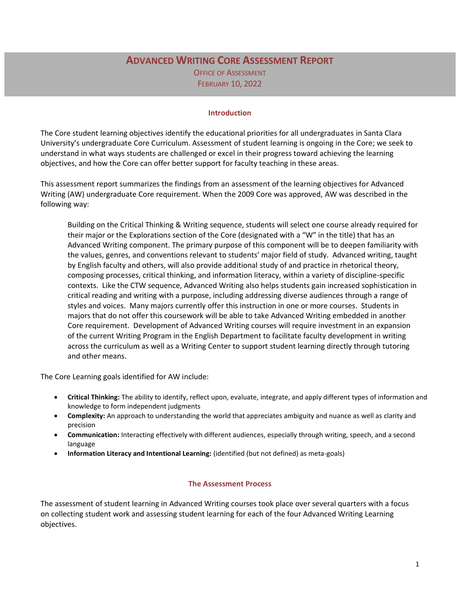# **ADVANCED WRITING CORE ASSESSMENT REPORT**

OFFICE OF ASSESSMENT FEBRUARY 10, 2022

#### **Introduction**

The Core student learning objectives identify the educational priorities for all undergraduates in Santa Clara University's undergraduate Core Curriculum. Assessment of student learning is ongoing in the Core; we seek to understand in what ways students are challenged or excel in their progress toward achieving the learning objectives, and how the Core can offer better support for faculty teaching in these areas.

This assessment report summarizes the findings from an assessment of the learning objectives for Advanced Writing (AW) undergraduate Core requirement. When the 2009 Core was approved, AW was described in the following way:

Building on the Critical Thinking & Writing sequence, students will select one course already required for their major or the Explorations section of the Core (designated with a "W" in the title) that has an Advanced Writing component. The primary purpose of this component will be to deepen familiarity with the values, genres, and conventions relevant to students' major field of study. Advanced writing, taught by English faculty and others, will also provide additional study of and practice in rhetorical theory, composing processes, critical thinking, and information literacy, within a variety of discipline-specific contexts. Like the CTW sequence, Advanced Writing also helps students gain increased sophistication in critical reading and writing with a purpose, including addressing diverse audiences through a range of styles and voices. Many majors currently offer this instruction in one or more courses. Students in majors that do not offer this coursework will be able to take Advanced Writing embedded in another Core requirement. Development of Advanced Writing courses will require investment in an expansion of the current Writing Program in the English Department to facilitate faculty development in writing across the curriculum as well as a Writing Center to support student learning directly through tutoring and other means.

The Core Learning goals identified for AW include:

- **Critical Thinking:** The ability to identify, reflect upon, evaluate, integrate, and apply different types of information and knowledge to form independent judgments
- **Complexity:** An approach to understanding the world that appreciates ambiguity and nuance as well as clarity and precision
- **Communication:** Interacting effectively with different audiences, especially through writing, speech, and a second language
- **Information Literacy and Intentional Learning:** (identified (but not defined) as meta-goals)

#### **The Assessment Process**

The assessment of student learning in Advanced Writing courses took place over several quarters with a focus on collecting student work and assessing student learning for each of the four Advanced Writing Learning objectives.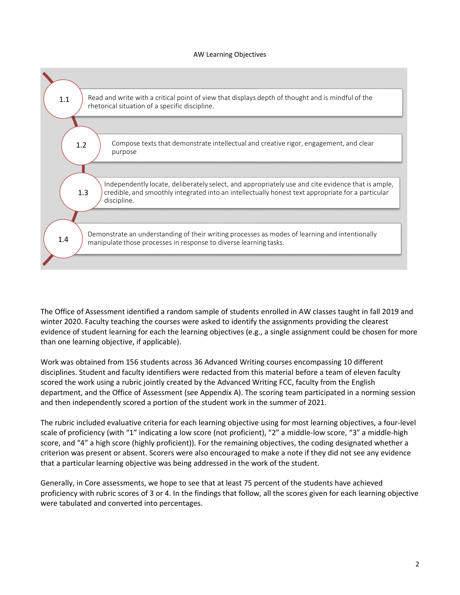#### AW Learning Objectives



The Office of Assessment identified a random sample of students enrolled in AW classes taught in fall 2019 and winter 2020. Faculty teaching the courses were asked to identify the assignments providing the clearest evidence of student learning for each the learning objectives (e.g., a single assignment could be chosen for more than one learning objective, if applicable).

Work was obtained from 156 students across 36 Advanced Writing courses encompassing 10 different disciplines. Student and faculty identifiers were redacted from this material before a team of eleven faculty scored the work using a rubric jointly created by the Advanced Writing FCC, faculty from the English department, and the Office of Assessment (see Appendix A). The scoring team participated in a norming session and then independently scored a portion of the student work in the summer of 2021.

The rubric included evaluative criteria for each learning objective using for most learning objectives, a four-level scale of proficiency (with "1" indicating a low score (not proficient), "2" a middle-low score, "3" a middle-high score, and "4" a high score (highly proficient)). For the remaining objectives, the coding designated whether a criterion was present or absent. Scorers were also encouraged to make a note if they did not see any evidence that a particular learning objective was being addressed in the work of the student.

Generally, in Core assessments, we hope to see that at least 75 percent of the students have achieved proficiency with rubric scores of 3 or 4. In the findings that follow, all the scores given for each learning objective were tabulated and converted into percentages.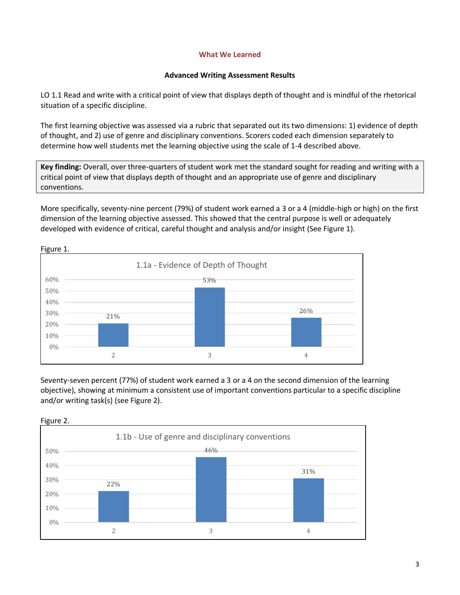## **What We Learned**

## **Advanced Writing Assessment Results**

LO 1.1 Read and write with a critical point of view that displays depth of thought and is mindful of the rhetorical situation of a specific discipline.

The first learning objective was assessed via a rubric that separated out its two dimensions: 1) evidence of depth of thought, and 2) use of genre and disciplinary conventions. Scorers coded each dimension separately to determine how well students met the learning objective using the scale of 1-4 described above.

**Key finding:** Overall, over three-quarters of student work met the standard sought for reading and writing with a critical point of view that displays depth of thought and an appropriate use of genre and disciplinary conventions.

More specifically, seventy-nine percent (79%) of student work earned a 3 or a 4 (middle-high or high) on the first dimension of the learning objective assessed. This showed that the central purpose is well or adequately developed with evidence of critical, careful thought and analysis and/or insight (See Figure 1).



Seventy-seven percent (77%) of student work earned a 3 or a 4 on the second dimension of the learning objective), showing at minimum a consistent use of important conventions particular to a specific discipline and/or writing task(s) (see Figure 2).



Figure 2.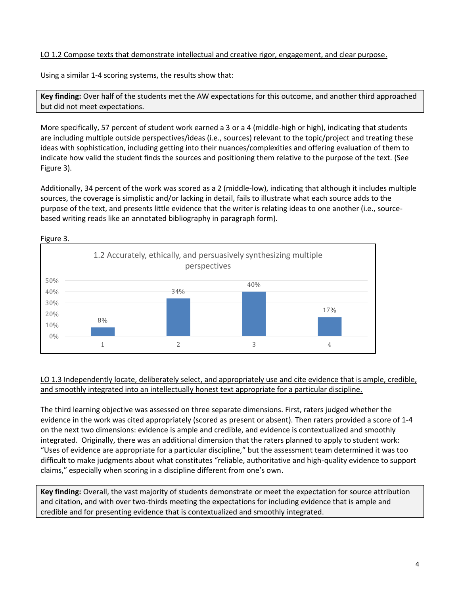## LO 1.2 Compose texts that demonstrate intellectual and creative rigor, engagement, and clear purpose.

Using a similar 1-4 scoring systems, the results show that:

**Key finding:** Over half of the students met the AW expectations for this outcome, and another third approached but did not meet expectations.

More specifically, 57 percent of student work earned a 3 or a 4 (middle-high or high), indicating that students are including multiple outside perspectives/ideas (i.e., sources) relevant to the topic/project and treating these ideas with sophistication, including getting into their nuances/complexities and offering evaluation of them to indicate how valid the student finds the sources and positioning them relative to the purpose of the text. (See Figure 3).

Additionally, 34 percent of the work was scored as a 2 (middle-low), indicating that although it includes multiple sources, the coverage is simplistic and/or lacking in detail, fails to illustrate what each source adds to the purpose of the text, and presents little evidence that the writer is relating ideas to one another (i.e., sourcebased writing reads like an annotated bibliography in paragraph form).



Figure 3.

## LO 1.3 Independently locate, deliberately select, and appropriately use and cite evidence that is ample, credible, and smoothly integrated into an intellectually honest text appropriate for a particular discipline.

The third learning objective was assessed on three separate dimensions. First, raters judged whether the evidence in the work was cited appropriately (scored as present or absent). Then raters provided a score of 1-4 on the next two dimensions: evidence is ample and credible, and evidence is contextualized and smoothly integrated. Originally, there was an additional dimension that the raters planned to apply to student work: "Uses of evidence are appropriate for a particular discipline," but the assessment team determined it was too difficult to make judgments about what constitutes "reliable, authoritative and high-quality evidence to support claims," especially when scoring in a discipline different from one's own.

**Key finding:** Overall, the vast majority of students demonstrate or meet the expectation for source attribution and citation, and with over two-thirds meeting the expectations for including evidence that is ample and credible and for presenting evidence that is contextualized and smoothly integrated.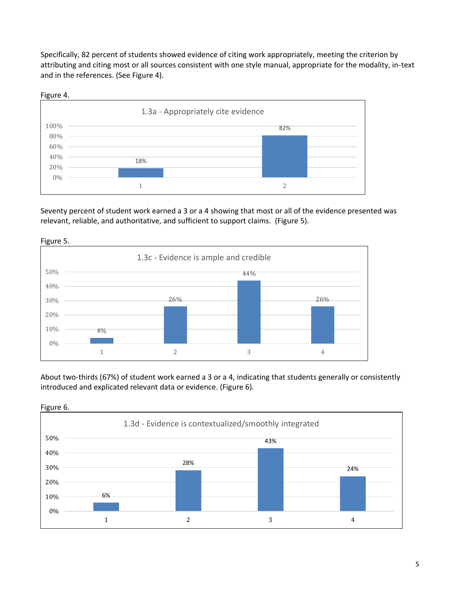Specifically, 82 percent of students showed evidence of citing work appropriately, meeting the criterion by attributing and citing most or all sources consistent with one style manual, appropriate for the modality, in-text and in the references. (See Figure 4).



Seventy percent of student work earned a 3 or a 4 showing that most or all of the evidence presented was relevant, reliable, and authoritative, and sufficient to support claims. (Figure 5).



Figure 5.

About two-thirds (67%) of student work earned a 3 or a 4, indicating that students generally or consistently introduced and explicated relevant data or evidence. (Figure 6).

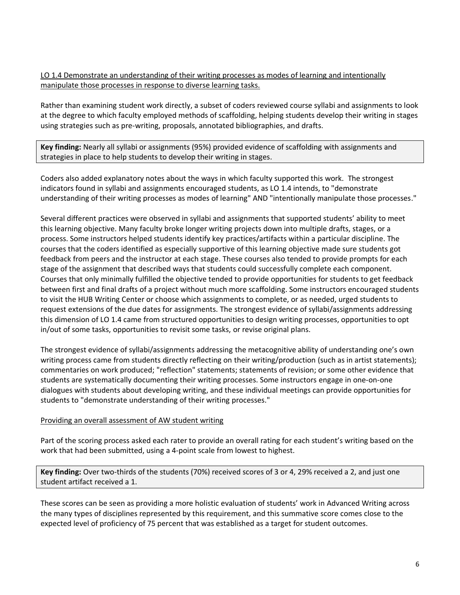## LO 1.4 Demonstrate an understanding of their writing processes as modes of learning and intentionally manipulate those processes in response to diverse learning tasks.

Rather than examining student work directly, a subset of coders reviewed course syllabi and assignments to look at the degree to which faculty employed methods of scaffolding, helping students develop their writing in stages using strategies such as pre-writing, proposals, annotated bibliographies, and drafts.

**Key finding:** Nearly all syllabi or assignments (95%) provided evidence of scaffolding with assignments and strategies in place to help students to develop their writing in stages.

Coders also added explanatory notes about the ways in which faculty supported this work. The strongest indicators found in syllabi and assignments encouraged students, as LO 1.4 intends, to "demonstrate understanding of their writing processes as modes of learning" AND "intentionally manipulate those processes."

Several different practices were observed in syllabi and assignments that supported students' ability to meet this learning objective. Many faculty broke longer writing projects down into multiple drafts, stages, or a process. Some instructors helped students identify key practices/artifacts within a particular discipline. The courses that the coders identified as especially supportive of this learning objective made sure students got feedback from peers and the instructor at each stage. These courses also tended to provide prompts for each stage of the assignment that described ways that students could successfully complete each component. Courses that only minimally fulfilled the objective tended to provide opportunities for students to get feedback between first and final drafts of a project without much more scaffolding. Some instructors encouraged students to visit the HUB Writing Center or choose which assignments to complete, or as needed, urged students to request extensions of the due dates for assignments. The strongest evidence of syllabi/assignments addressing this dimension of LO 1.4 came from structured opportunities to design writing processes, opportunities to opt in/out of some tasks, opportunities to revisit some tasks, or revise original plans.

The strongest evidence of syllabi/assignments addressing the metacognitive ability of understanding one's own writing process came from students directly reflecting on their writing/production (such as in artist statements); commentaries on work produced; "reflection" statements; statements of revision; or some other evidence that students are systematically documenting their writing processes. Some instructors engage in one-on-one dialogues with students about developing writing, and these individual meetings can provide opportunities for students to "demonstrate understanding of their writing processes."

## Providing an overall assessment of AW student writing

Part of the scoring process asked each rater to provide an overall rating for each student's writing based on the work that had been submitted, using a 4-point scale from lowest to highest.

**Key finding:** Over two-thirds of the students (70%) received scores of 3 or 4, 29% received a 2, and just one student artifact received a 1.

These scores can be seen as providing a more holistic evaluation of students' work in Advanced Writing across the many types of disciplines represented by this requirement, and this summative score comes close to the expected level of proficiency of 75 percent that was established as a target for student outcomes.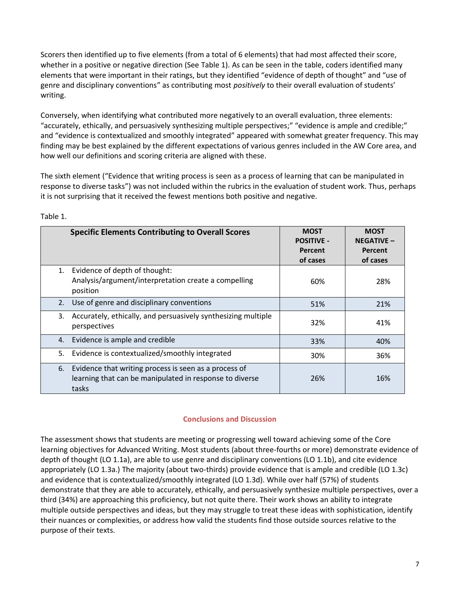Scorers then identified up to five elements (from a total of 6 elements) that had most affected their score, whether in a positive or negative direction (See Table 1). As can be seen in the table, coders identified many elements that were important in their ratings, but they identified "evidence of depth of thought" and "use of genre and disciplinary conventions" as contributing most *positively* to their overall evaluation of students' writing.

Conversely, when identifying what contributed more negatively to an overall evaluation, three elements: "accurately, ethically, and persuasively synthesizing multiple perspectives;" "evidence is ample and credible;" and "evidence is contextualized and smoothly integrated" appeared with somewhat greater frequency. This may finding may be best explained by the different expectations of various genres included in the AW Core area, and how well our definitions and scoring criteria are aligned with these.

The sixth element ("Evidence that writing process is seen as a process of learning that can be manipulated in response to diverse tasks") was not included within the rubrics in the evaluation of student work. Thus, perhaps it is not surprising that it received the fewest mentions both positive and negative.

|    | <b>Specific Elements Contributing to Overall Scores</b>                                                                   | <b>MOST</b><br><b>POSITIVE -</b><br>Percent<br>of cases | <b>MOST</b><br><b>NEGATIVE -</b><br>Percent<br>of cases |
|----|---------------------------------------------------------------------------------------------------------------------------|---------------------------------------------------------|---------------------------------------------------------|
| 1. | Evidence of depth of thought:<br>Analysis/argument/interpretation create a compelling<br>position                         | 60%                                                     | 28%                                                     |
| 2. | Use of genre and disciplinary conventions                                                                                 | 51%                                                     | 21%                                                     |
| 3. | Accurately, ethically, and persuasively synthesizing multiple<br>perspectives                                             | 32%                                                     | 41%                                                     |
| 4. | Evidence is ample and credible                                                                                            | 33%                                                     | 40%                                                     |
| 5. | Evidence is contextualized/smoothly integrated                                                                            | 30%                                                     | 36%                                                     |
| 6. | Evidence that writing process is seen as a process of<br>learning that can be manipulated in response to diverse<br>tasks | 26%                                                     | 16%                                                     |

Table 1.

## **Conclusions and Discussion**

The assessment shows that students are meeting or progressing well toward achieving some of the Core learning objectives for Advanced Writing. Most students (about three-fourths or more) demonstrate evidence of depth of thought (LO 1.1a), are able to use genre and disciplinary conventions (LO 1.1b), and cite evidence appropriately (LO 1.3a.) The majority (about two-thirds) provide evidence that is ample and credible (LO 1.3c) and evidence that is contextualized/smoothly integrated (LO 1.3d). While over half (57%) of students demonstrate that they are able to accurately, ethically, and persuasively synthesize multiple perspectives, over a third (34%) are approaching this proficiency, but not quite there. Their work shows an ability to integrate multiple outside perspectives and ideas, but they may struggle to treat these ideas with sophistication, identify their nuances or complexities, or address how valid the students find those outside sources relative to the purpose of their texts.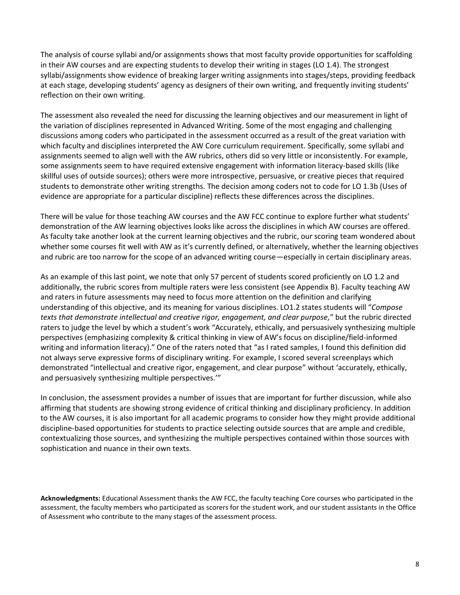The analysis of course syllabi and/or assignments shows that most faculty provide opportunities for scaffolding in their AW courses and are expecting students to develop their writing in stages (LO 1.4). The strongest syllabi/assignments show evidence of breaking larger writing assignments into stages/steps, providing feedback at each stage, developing students' agency as designers of their own writing, and frequently inviting students' reflection on their own writing.

The assessment also revealed the need for discussing the learning objectives and our measurement in light of the variation of disciplines represented in Advanced Writing. Some of the most engaging and challenging discussions among coders who participated in the assessment occurred as a result of the great variation with which faculty and disciplines interpreted the AW Core curriculum requirement. Specifically, some syllabi and assignments seemed to align well with the AW rubrics, others did so very little or inconsistently. For example, some assignments seem to have required extensive engagement with information literacy-based skills (like skillful uses of outside sources); others were more introspective, persuasive, or creative pieces that required students to demonstrate other writing strengths. The decision among coders not to code for LO 1.3b (Uses of evidence are appropriate for a particular discipline) reflects these differences across the disciplines.

There will be value for those teaching AW courses and the AW FCC continue to explore further what students' demonstration of the AW learning objectives looks like across the disciplines in which AW courses are offered. As faculty take another look at the current learning objectives and the rubric, our scoring team wondered about whether some courses fit well with AW as it's currently defined, or alternatively, whether the learning objectives and rubric are too narrow for the scope of an advanced writing course—especially in certain disciplinary areas.

As an example of this last point, we note that only 57 percent of students scored proficiently on LO 1.2 and additionally, the rubric scores from multiple raters were less consistent (see Appendix B). Faculty teaching AW and raters in future assessments may need to focus more attention on the definition and clarifying understanding of this objective, and its meaning for various disciplines. LO1.2 states students will "*Compose texts that demonstrate intellectual and creative rigor, engagement, and clear purpose,*" but the rubric directed raters to judge the level by which a student's work "Accurately, ethically, and persuasively synthesizing multiple perspectives (emphasizing complexity & critical thinking in view of AW's focus on discipline/field-informed writing and information literacy)." One of the raters noted that "as I rated samples, I found this definition did not always serve expressive forms of disciplinary writing. For example, I scored several screenplays which demonstrated "intellectual and creative rigor, engagement, and clear purpose" without 'accurately, ethically, and persuasively synthesizing multiple perspectives.'"

In conclusion, the assessment provides a number of issues that are important for further discussion, while also affirming that students are showing strong evidence of critical thinking and disciplinary proficiency. In addition to the AW courses, it is also important for all academic programs to consider how they might provide additional discipline-based opportunities for students to practice selecting outside sources that are ample and credible, contextualizing those sources, and synthesizing the multiple perspectives contained within those sources with sophistication and nuance in their own texts.

**Acknowledgments:** Educational Assessment thanks the AW FCC, the faculty teaching Core courses who participated in the assessment, the faculty members who participated as scorers for the student work, and our student assistants in the Office of Assessment who contribute to the many stages of the assessment process.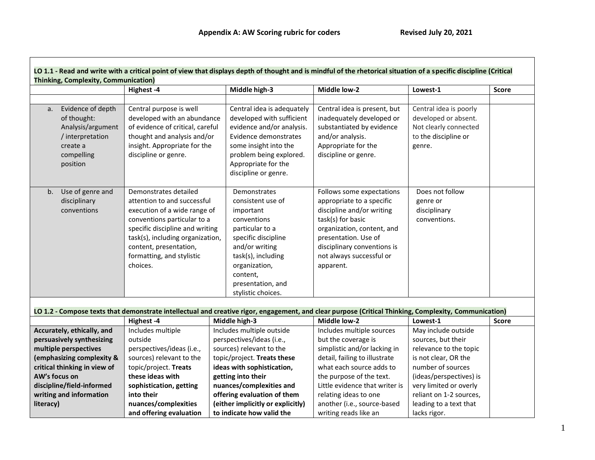Г

|                                                                                                                                                                                                                                                                                                                        | Highest-4                 | Middle high-3                                                                                                                                                                                                           | Middle low-2                                                                                                                                                                                                                           | Lowest-1                                                                                                  | <b>Score</b> |
|------------------------------------------------------------------------------------------------------------------------------------------------------------------------------------------------------------------------------------------------------------------------------------------------------------------------|---------------------------|-------------------------------------------------------------------------------------------------------------------------------------------------------------------------------------------------------------------------|----------------------------------------------------------------------------------------------------------------------------------------------------------------------------------------------------------------------------------------|-----------------------------------------------------------------------------------------------------------|--------------|
|                                                                                                                                                                                                                                                                                                                        |                           |                                                                                                                                                                                                                         |                                                                                                                                                                                                                                        |                                                                                                           |              |
| Evidence of depth<br>Central purpose is well<br>a.<br>of thought:<br>developed with an abundance<br>of evidence of critical, careful<br>Analysis/argument<br>thought and analysis and/or<br>/ interpretation<br>insight. Appropriate for the<br>create a<br>compelling<br>discipline or genre.<br>position             |                           | Central idea is adequately<br>developed with sufficient<br>evidence and/or analysis.<br>Evidence demonstrates<br>some insight into the<br>problem being explored.<br>Appropriate for the<br>discipline or genre.        | Central idea is present, but<br>inadequately developed or<br>substantiated by evidence<br>and/or analysis.<br>Appropriate for the<br>discipline or genre.                                                                              | Central idea is poorly<br>developed or absent.<br>Not clearly connected<br>to the discipline or<br>genre. |              |
| Demonstrates detailed<br>Use of genre and<br>b.<br>attention to and successful<br>disciplinary<br>execution of a wide range of<br>conventions<br>conventions particular to a<br>specific discipline and writing<br>task(s), including organization,<br>content, presentation,<br>formatting, and stylistic<br>choices. |                           | Demonstrates<br>consistent use of<br>important<br>conventions<br>particular to a<br>specific discipline<br>and/or writing<br>task(s), including<br>organization,<br>content,<br>presentation, and<br>stylistic choices. | Follows some expectations<br>appropriate to a specific<br>discipline and/or writing<br>task(s) for basic<br>organization, content, and<br>presentation. Use of<br>disciplinary conventions is<br>not always successful or<br>apparent. | Does not follow<br>genre or<br>disciplinary<br>conventions.                                               |              |
|                                                                                                                                                                                                                                                                                                                        |                           | LO 1.2 - Compose texts that demonstrate intellectual and creative rigor, engagement, and clear purpose (Critical Thinking, Complexity, Communication)                                                                   |                                                                                                                                                                                                                                        |                                                                                                           |              |
|                                                                                                                                                                                                                                                                                                                        | Highest -4                | Middle high-3                                                                                                                                                                                                           | Middle low-2                                                                                                                                                                                                                           | Lowest-1                                                                                                  | <b>Score</b> |
| Accurately, ethically, and                                                                                                                                                                                                                                                                                             | Includes multiple         | Includes multiple outside                                                                                                                                                                                               | Includes multiple sources                                                                                                                                                                                                              | May include outside                                                                                       |              |
| persuasively synthesizing                                                                                                                                                                                                                                                                                              | outside                   | perspectives/ideas (i.e.,                                                                                                                                                                                               | but the coverage is                                                                                                                                                                                                                    | sources, but their                                                                                        |              |
| multiple perspectives                                                                                                                                                                                                                                                                                                  | perspectives/ideas (i.e., | sources) relevant to the                                                                                                                                                                                                | simplistic and/or lacking in                                                                                                                                                                                                           | relevance to the topic                                                                                    |              |
| (emphasizing complexity &                                                                                                                                                                                                                                                                                              | sources) relevant to the  | topic/project. Treats these                                                                                                                                                                                             | detail, failing to illustrate                                                                                                                                                                                                          | is not clear, OR the                                                                                      |              |
| critical thinking in view of                                                                                                                                                                                                                                                                                           | topic/project. Treats     | ideas with sophistication,                                                                                                                                                                                              | what each source adds to                                                                                                                                                                                                               | number of sources                                                                                         |              |
| AW's focus on                                                                                                                                                                                                                                                                                                          | these ideas with          | getting into their                                                                                                                                                                                                      | the purpose of the text.                                                                                                                                                                                                               | (ideas/perspectives) is                                                                                   |              |
| discipline/field-informed                                                                                                                                                                                                                                                                                              | sophistication, getting   | nuances/complexities and                                                                                                                                                                                                | Little evidence that writer is                                                                                                                                                                                                         | very limited or overly                                                                                    |              |
| writing and information                                                                                                                                                                                                                                                                                                | into their                | offering evaluation of them                                                                                                                                                                                             | relating ideas to one                                                                                                                                                                                                                  | reliant on 1-2 sources,                                                                                   |              |
| literacy)                                                                                                                                                                                                                                                                                                              | nuances/complexities      | (either implicitly or explicitly)                                                                                                                                                                                       | another (i.e., source-based                                                                                                                                                                                                            | leading to a text that                                                                                    |              |
|                                                                                                                                                                                                                                                                                                                        | and offering evaluation   | to indicate how valid the                                                                                                                                                                                               | writing reads like an                                                                                                                                                                                                                  | lacks rigor.                                                                                              |              |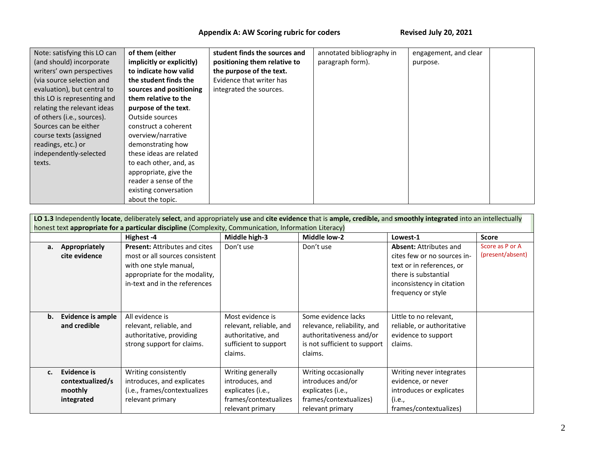# Appendix A: AW Scoring rubric for coders Revised July 20, 2021

| Note: satisfying this LO can | of them (either           | student finds the sources and | annotated bibliography in | engagement, and clear |  |
|------------------------------|---------------------------|-------------------------------|---------------------------|-----------------------|--|
| (and should) incorporate     | implicitly or explicitly) | positioning them relative to  | paragraph form).          | purpose.              |  |
| writers' own perspectives    | to indicate how valid     | the purpose of the text.      |                           |                       |  |
| (via source selection and    | the student finds the     | Evidence that writer has      |                           |                       |  |
| evaluation), but central to  | sources and positioning   | integrated the sources.       |                           |                       |  |
| this LO is representing and  | them relative to the      |                               |                           |                       |  |
| relating the relevant ideas  | purpose of the text.      |                               |                           |                       |  |
| of others (i.e., sources).   | Outside sources           |                               |                           |                       |  |
| Sources can be either        | construct a coherent      |                               |                           |                       |  |
| course texts (assigned       | overview/narrative        |                               |                           |                       |  |
| readings, etc.) or           | demonstrating how         |                               |                           |                       |  |
| independently-selected       | these ideas are related   |                               |                           |                       |  |
| texts.                       | to each other, and, as    |                               |                           |                       |  |
|                              | appropriate, give the     |                               |                           |                       |  |
|                              | reader a sense of the     |                               |                           |                       |  |
|                              | existing conversation     |                               |                           |                       |  |
|                              | about the topic.          |                               |                           |                       |  |

| LO 1.3 Independently locate, deliberately select, and appropriately use and cite evidence that is ample, credible, and smoothly integrated into an intellectually<br>honest text appropriate for a particular discipline (Complexity, Communication, Information Literacy) |                                                          |                                                                                                                                                                    |                                                                                                        |                                                                                                                           |                                                                                                                                                                      |                                     |  |
|----------------------------------------------------------------------------------------------------------------------------------------------------------------------------------------------------------------------------------------------------------------------------|----------------------------------------------------------|--------------------------------------------------------------------------------------------------------------------------------------------------------------------|--------------------------------------------------------------------------------------------------------|---------------------------------------------------------------------------------------------------------------------------|----------------------------------------------------------------------------------------------------------------------------------------------------------------------|-------------------------------------|--|
|                                                                                                                                                                                                                                                                            |                                                          | Highest -4                                                                                                                                                         | Middle high-3                                                                                          | Middle low-2                                                                                                              | Lowest-1                                                                                                                                                             | <b>Score</b>                        |  |
| a.                                                                                                                                                                                                                                                                         | Appropriately<br>cite evidence                           | <b>Present: Attributes and cites</b><br>most or all sources consistent<br>with one style manual,<br>appropriate for the modality,<br>in-text and in the references | Don't use                                                                                              | Don't use                                                                                                                 | <b>Absent: Attributes and</b><br>cites few or no sources in-<br>text or in references, or<br>there is substantial<br>inconsistency in citation<br>frequency or style | Score as P or A<br>(present/absent) |  |
| b.                                                                                                                                                                                                                                                                         | Evidence is ample<br>and credible                        | All evidence is<br>relevant, reliable, and<br>authoritative, providing<br>strong support for claims.                                                               | Most evidence is<br>relevant, reliable, and<br>authoritative, and<br>sufficient to support<br>claims.  | Some evidence lacks<br>relevance, reliability, and<br>authoritativeness and/or<br>is not sufficient to support<br>claims. | Little to no relevant,<br>reliable, or authoritative<br>evidence to support<br>claims.                                                                               |                                     |  |
| $c_{\cdot}$                                                                                                                                                                                                                                                                | Evidence is<br>contextualized/s<br>moothly<br>integrated | Writing consistently<br>introduces, and explicates<br>(i.e., frames/contextualizes<br>relevant primary                                                             | Writing generally<br>introduces, and<br>explicates (i.e.,<br>frames/contextualizes<br>relevant primary | Writing occasionally<br>introduces and/or<br>explicates (i.e.,<br>frames/contextualizes)<br>relevant primary              | Writing never integrates<br>evidence, or never<br>introduces or explicates<br>(i.e.,<br>frames/contextualizes)                                                       |                                     |  |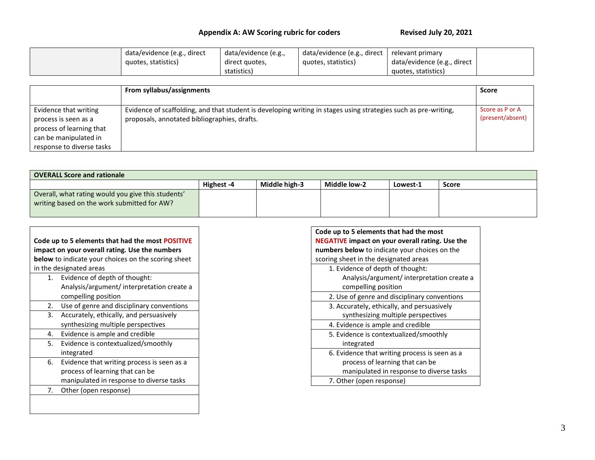# Appendix A: AW Scoring rubric for coders Revised July 20, 2021

| data/evidence (e.g., direct | data/evidence (e.g., | data/evidence (e.g., direct | relevant primary            |  |
|-----------------------------|----------------------|-----------------------------|-----------------------------|--|
| quotes, statistics)         | direct quotes,       | quotes, statistics)         | data/evidence (e.g., direct |  |
|                             | statistics)          |                             | quotes, statistics)         |  |

|                                                                                                                                 | From syllabus/assignments                                                                                                                                       | <b>Score</b>                        |
|---------------------------------------------------------------------------------------------------------------------------------|-----------------------------------------------------------------------------------------------------------------------------------------------------------------|-------------------------------------|
| Evidence that writing<br>process is seen as a<br>process of learning that<br>can be manipulated in<br>response to diverse tasks | Evidence of scaffolding, and that student is developing writing in stages using strategies such as pre-writing,<br>proposals, annotated bibliographies, drafts. | Score as P or A<br>(present/absent) |

| <b>OVERALL Score and rationale</b>                                                                |            |               |              |          |              |  |  |
|---------------------------------------------------------------------------------------------------|------------|---------------|--------------|----------|--------------|--|--|
|                                                                                                   | Highest -4 | Middle high-3 | Middle low-2 | Lowest-1 | <b>Score</b> |  |  |
| Overall, what rating would you give this students'<br>writing based on the work submitted for AW? |            |               |              |          |              |  |  |

| Code up to 5 elements that had the most POSITIVE<br>impact on your overall rating. Use the numbers<br><b>below</b> to indicate your choices on the scoring sheet |                                            |  |  |  |  |  |
|------------------------------------------------------------------------------------------------------------------------------------------------------------------|--------------------------------------------|--|--|--|--|--|
|                                                                                                                                                                  | in the designated areas                    |  |  |  |  |  |
| 1.                                                                                                                                                               | Evidence of depth of thought:              |  |  |  |  |  |
|                                                                                                                                                                  | Analysis/argument/ interpretation create a |  |  |  |  |  |
|                                                                                                                                                                  | compelling position                        |  |  |  |  |  |
| 2.                                                                                                                                                               | Use of genre and disciplinary conventions  |  |  |  |  |  |
|                                                                                                                                                                  | 3. Accurately, ethically, and persuasively |  |  |  |  |  |
|                                                                                                                                                                  | synthesizing multiple perspectives         |  |  |  |  |  |
| 4.                                                                                                                                                               | Evidence is ample and credible             |  |  |  |  |  |
| 5.                                                                                                                                                               | Evidence is contextualized/smoothly        |  |  |  |  |  |
|                                                                                                                                                                  | integrated                                 |  |  |  |  |  |
| 6.                                                                                                                                                               | Evidence that writing process is seen as a |  |  |  |  |  |
|                                                                                                                                                                  | process of learning that can be            |  |  |  |  |  |
|                                                                                                                                                                  | manipulated in response to diverse tasks   |  |  |  |  |  |
| 7.                                                                                                                                                               | Other (open response)                      |  |  |  |  |  |
|                                                                                                                                                                  |                                            |  |  |  |  |  |

Г

| Code up to 5 elements that had the most                |
|--------------------------------------------------------|
| <b>NEGATIVE impact on your overall rating. Use the</b> |
| <b>numbers below</b> to indicate your choices on the   |
| scoring sheet in the designated areas                  |
| 1. Evidence of depth of thought:                       |
| Analysis/argument/ interpretation create a             |
| compelling position                                    |
| 2. Use of genre and disciplinary conventions           |
| 3. Accurately, ethically, and persuasively             |
| synthesizing multiple perspectives                     |
| 4. Evidence is ample and credible                      |
| 5. Evidence is contextualized/smoothly                 |
| integrated                                             |
| 6. Evidence that writing process is seen as a          |
| process of learning that can be                        |
| manipulated in response to diverse tasks               |
| 7. Other (open response)                               |
|                                                        |